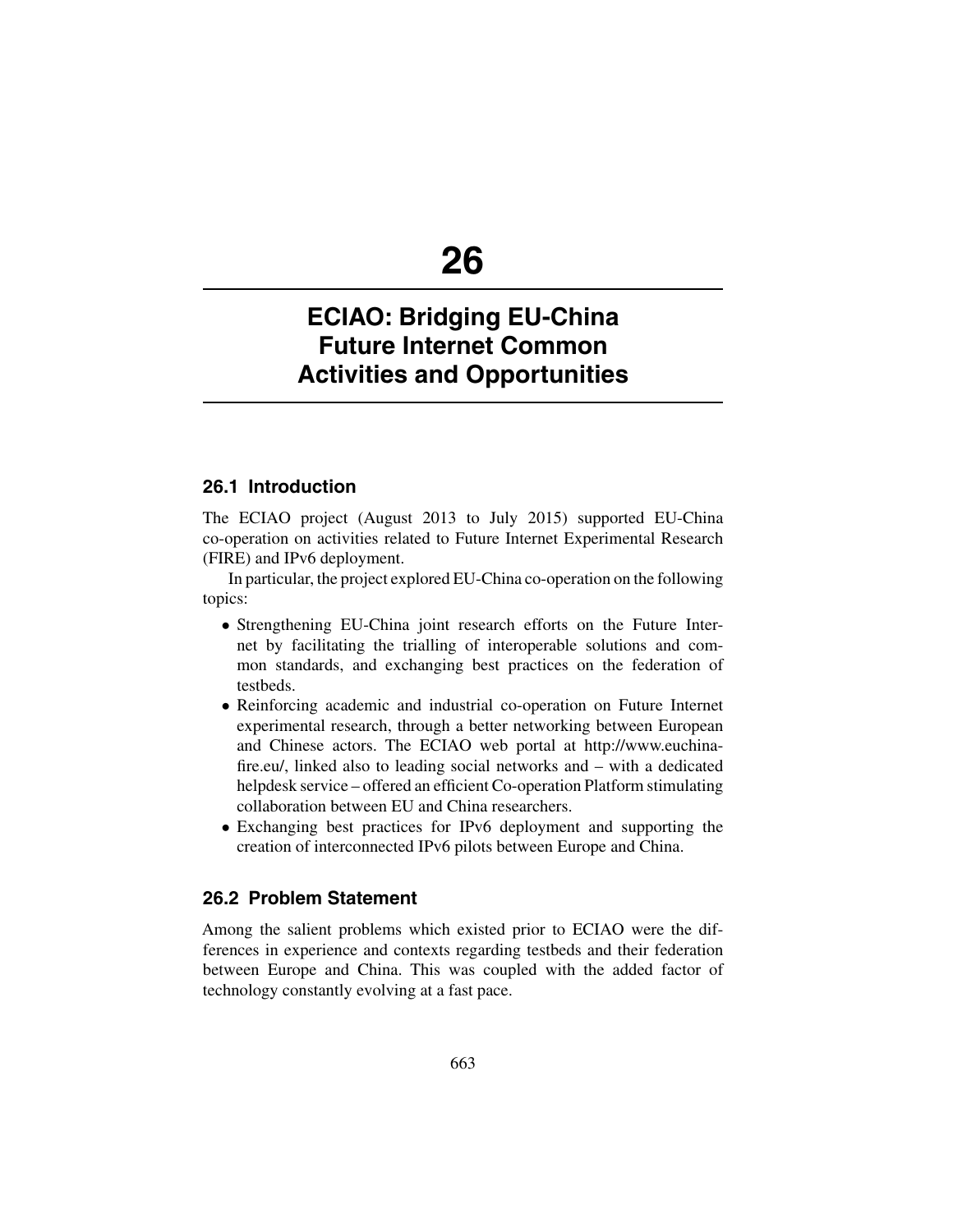# **26**

# **ECIAO: Bridging EU-China Future Internet Common Activities and Opportunities**

# **26.1 Introduction**

The ECIAO project (August 2013 to July 2015) supported EU-China co-operation on activities related to Future Internet Experimental Research (FIRE) and IPv6 deployment.

In particular, the project explored EU-China co-operation on the following topics:

- Strengthening EU-China joint research efforts on the Future Internet by facilitating the trialling of interoperable solutions and common standards, and exchanging best practices on the federation of testbeds.
- Reinforcing academic and industrial co-operation on Future Internet experimental research, through a better networking between European and Chinese actors. The ECIAO web portal at http://www.euchinafire.eu/, linked also to leading social networks and – with a dedicated helpdesk service – offered an efficient Co-operation Platform stimulating collaboration between EU and China researchers.
- Exchanging best practices for IPv6 deployment and supporting the creation of interconnected IPv6 pilots between Europe and China.

# **26.2 Problem Statement**

Among the salient problems which existed prior to ECIAO were the differences in experience and contexts regarding testbeds and their federation between Europe and China. This was coupled with the added factor of technology constantly evolving at a fast pace.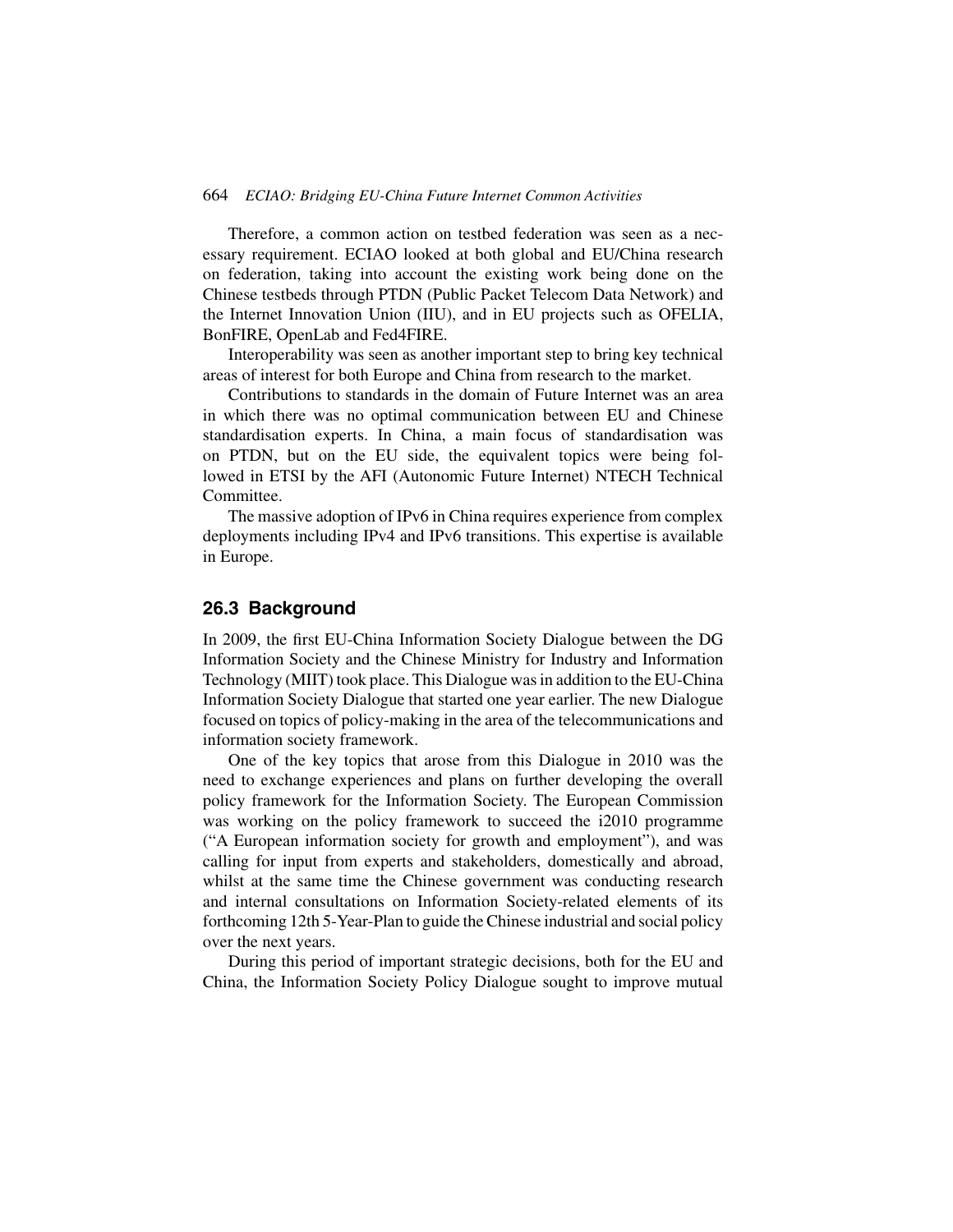#### 664 *ECIAO: Bridging EU-China Future Internet Common Activities*

Therefore, a common action on testbed federation was seen as a necessary requirement. ECIAO looked at both global and EU/China research on federation, taking into account the existing work being done on the Chinese testbeds through PTDN (Public Packet Telecom Data Network) and the Internet Innovation Union (IIU), and in EU projects such as OFELIA, BonFIRE, OpenLab and Fed4FIRE.

Interoperability was seen as another important step to bring key technical areas of interest for both Europe and China from research to the market.

Contributions to standards in the domain of Future Internet was an area in which there was no optimal communication between EU and Chinese standardisation experts. In China, a main focus of standardisation was on PTDN, but on the EU side, the equivalent topics were being followed in ETSI by the AFI (Autonomic Future Internet) NTECH Technical Committee.

The massive adoption of IPv6 in China requires experience from complex deployments including IPv4 and IPv6 transitions. This expertise is available in Europe.

## **26.3 Background**

In 2009, the first EU-China Information Society Dialogue between the DG Information Society and the Chinese Ministry for Industry and Information Technology (MIIT) took place. This Dialogue was in addition to the EU-China Information Society Dialogue that started one year earlier. The new Dialogue focused on topics of policy-making in the area of the telecommunications and information society framework.

One of the key topics that arose from this Dialogue in 2010 was the need to exchange experiences and plans on further developing the overall policy framework for the Information Society. The European Commission was working on the policy framework to succeed the i2010 programme ("A European information society for growth and employment"), and was calling for input from experts and stakeholders, domestically and abroad, whilst at the same time the Chinese government was conducting research and internal consultations on Information Society-related elements of its forthcoming 12th 5-Year-Plan to guide the Chinese industrial and social policy over the next years.

During this period of important strategic decisions, both for the EU and China, the Information Society Policy Dialogue sought to improve mutual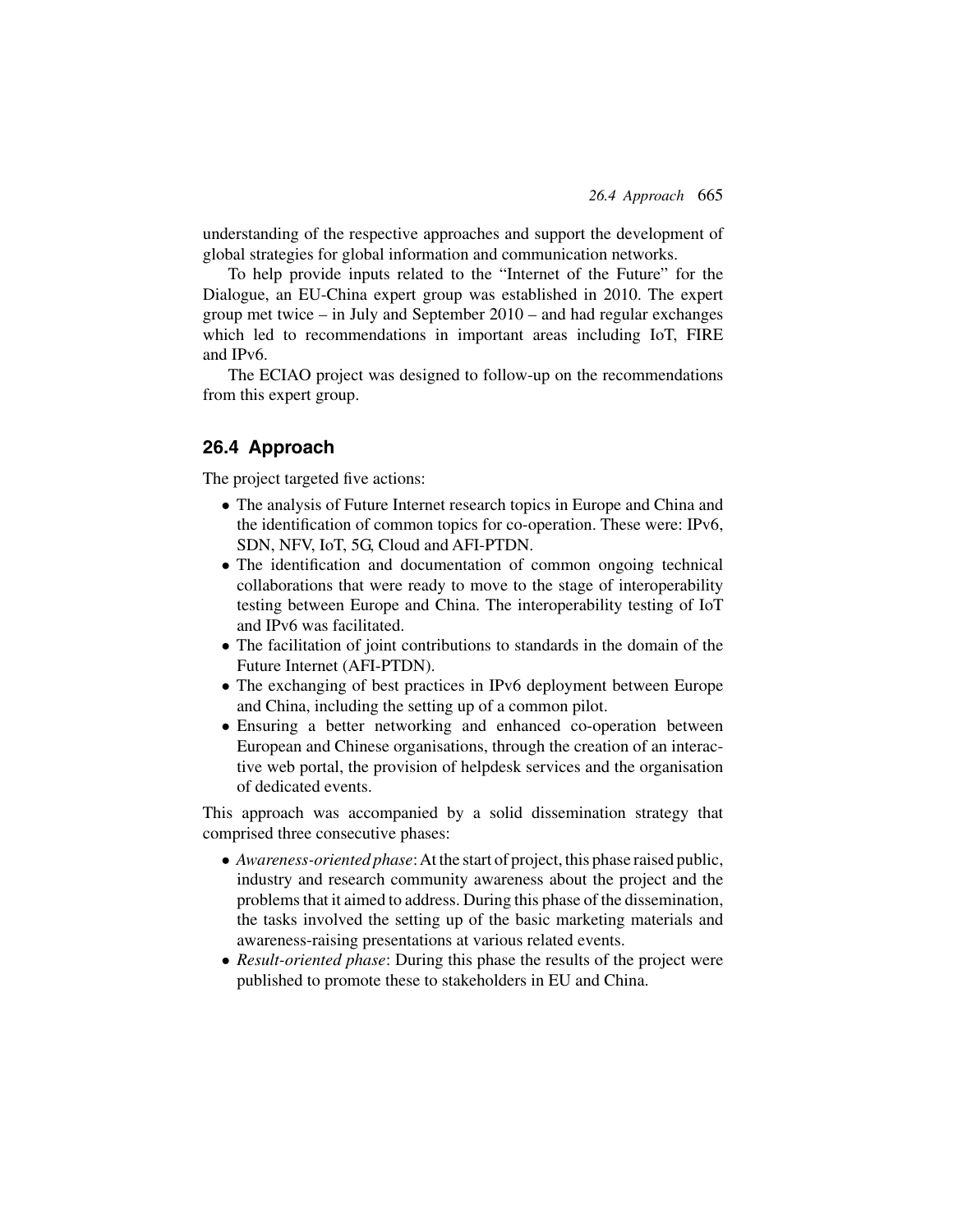understanding of the respective approaches and support the development of global strategies for global information and communication networks.

To help provide inputs related to the "Internet of the Future" for the Dialogue, an EU-China expert group was established in 2010. The expert group met twice – in July and September 2010 – and had regular exchanges which led to recommendations in important areas including IoT, FIRE and IPv6.

The ECIAO project was designed to follow-up on the recommendations from this expert group.

### **26.4 Approach**

The project targeted five actions:

- The analysis of Future Internet research topics in Europe and China and the identification of common topics for co-operation. These were: IPv6, SDN, NFV, IoT, 5G, Cloud and AFI-PTDN.
- The identification and documentation of common ongoing technical collaborations that were ready to move to the stage of interoperability testing between Europe and China. The interoperability testing of IoT and IPv6 was facilitated.
- The facilitation of joint contributions to standards in the domain of the Future Internet (AFI-PTDN).
- The exchanging of best practices in IPv6 deployment between Europe and China, including the setting up of a common pilot.
- Ensuring a better networking and enhanced co-operation between European and Chinese organisations, through the creation of an interactive web portal, the provision of helpdesk services and the organisation of dedicated events.

This approach was accompanied by a solid dissemination strategy that comprised three consecutive phases:

- *Awareness-oriented phase*:At the start of project, this phase raised public, industry and research community awareness about the project and the problems that it aimed to address. During this phase of the dissemination, the tasks involved the setting up of the basic marketing materials and awareness-raising presentations at various related events.
- *Result-oriented phase*: During this phase the results of the project were published to promote these to stakeholders in EU and China.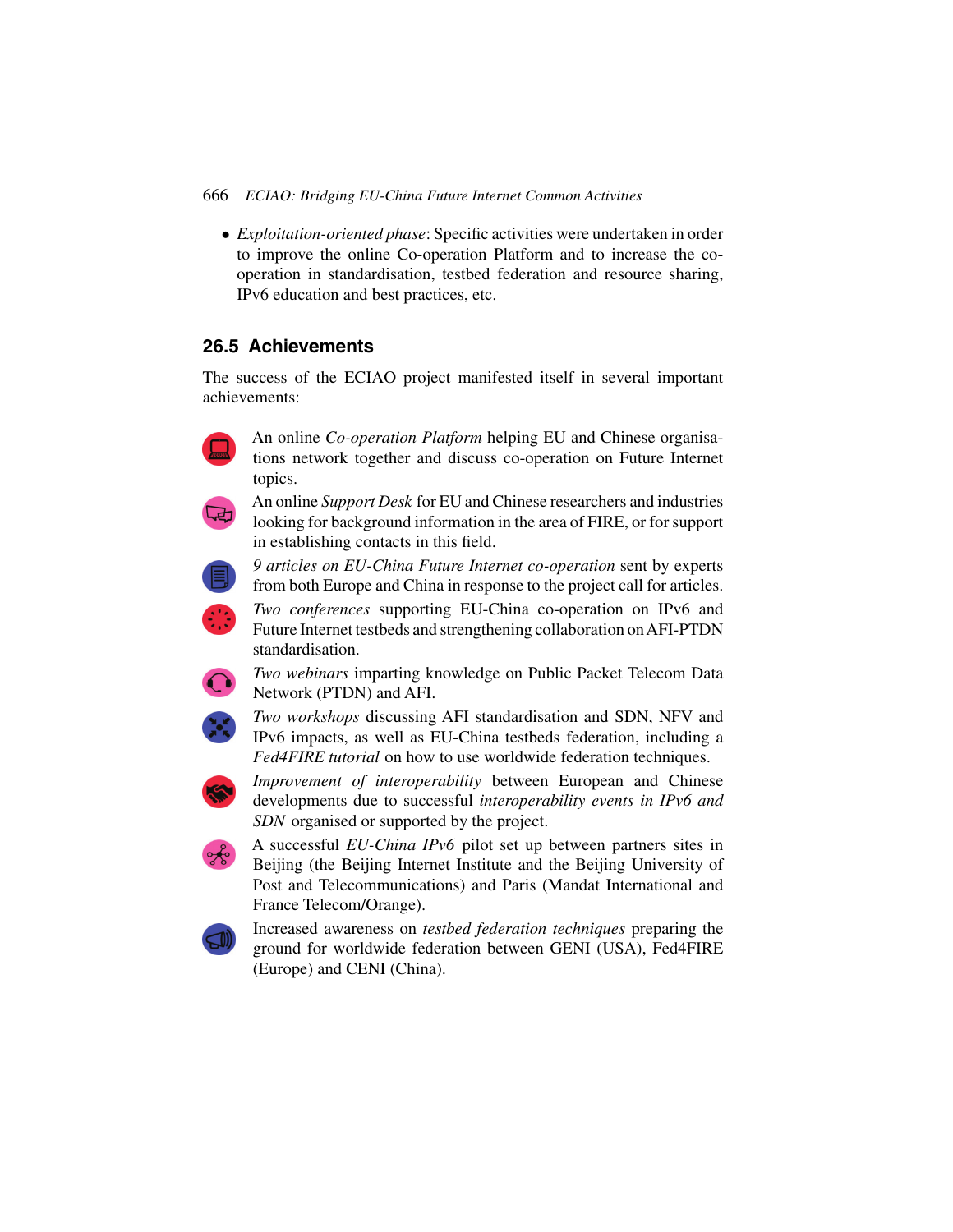666 *ECIAO: Bridging EU-China Future Internet Common Activities*

• *Exploitation-oriented phase*: Specific activities were undertaken in order to improve the online Co-operation Platform and to increase the cooperation in standardisation, testbed federation and resource sharing, IPv6 education and best practices, etc.

# **26.5 Achievements**

The success of the ECIAO project manifested itself in several important achievements:



An online *Co-operation Platform* helping EU and Chinese organisations network together and discuss co-operation on Future Internet topics.



An online *Support Desk* for EU and Chinese researchers and industries looking for background information in the area of FIRE, or for support in establishing contacts in this field.



*9 articles on EU-China Future Internet co-operation* sent by experts from both Europe and China in response to the project call for articles.



*Two conferences* supporting EU-China co-operation on IPv6 and Future Internet testbeds and strengthening collaboration onAFI-PTDN standardisation.



*Two webinars* imparting knowledge on Public Packet Telecom Data Network (PTDN) and AFI.



*Two workshops* discussing AFI standardisation and SDN, NFV and IPv6 impacts, as well as EU-China testbeds federation, including a *Fed4FIRE tutorial* on how to use worldwide federation techniques.



*Improvement of interoperability* between European and Chinese developments due to successful *interoperability events in IPv6 and SDN* organised or supported by the project.



A successful *EU-China IPv6* pilot set up between partners sites in Beijing (the Beijing Internet Institute and the Beijing University of Post and Telecommunications) and Paris (Mandat International and France Telecom/Orange).



Increased awareness on *testbed federation techniques* preparing the ground for worldwide federation between GENI (USA), Fed4FIRE (Europe) and CENI (China).